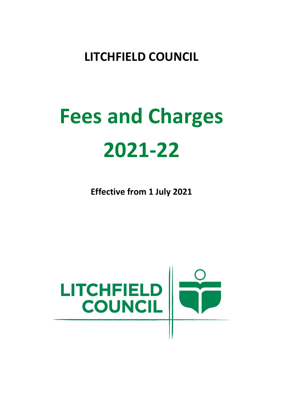# **LITCHFIELD COUNCIL**

# **Fees and Charges 2021-22**

**Effective from 1 July 2021**

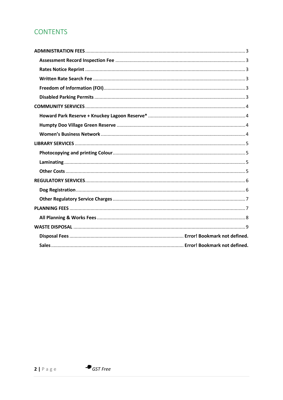# **CONTENTS**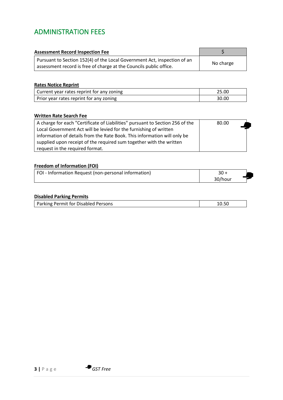# <span id="page-2-0"></span>ADMINISTRATION FEES

<span id="page-2-1"></span>

| <b>Assessment Record Inspection Fee</b>                                                                                                        |           |
|------------------------------------------------------------------------------------------------------------------------------------------------|-----------|
| Pursuant to Section 152(4) of the Local Government Act, inspection of an<br>assessment record is free of charge at the Councils public office. | No charge |

#### <span id="page-2-2"></span>**Rates Notice Reprint**

| Current year rates reprint for any zoning |       |
|-------------------------------------------|-------|
| Prior year rates reprint for any zoning   | 30.00 |

#### <span id="page-2-3"></span>**Written Rate Search Fee**

| A charge for each "Certificate of Liabilities" pursuant to Section 256 of the | 80.00 |
|-------------------------------------------------------------------------------|-------|
| Local Government Act will be levied for the furnishing of written             |       |
| information of details from the Rate Book. This information will only be      |       |
| supplied upon receipt of the required sum together with the written           |       |
| request in the required format.                                               |       |

#### <span id="page-2-4"></span>**Freedom of Information (FOI)**

| FOI - Information Request (non-personal information) |         |  |
|------------------------------------------------------|---------|--|
|                                                      | 30/hour |  |

#### <span id="page-2-5"></span>**Disabled Parking Permits**

| Parking Permit for Disabled Persons |  |
|-------------------------------------|--|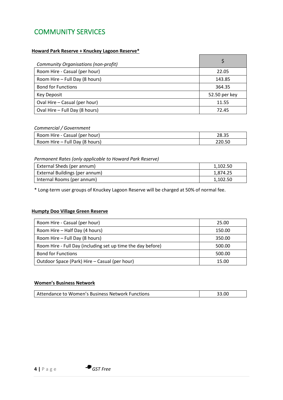# <span id="page-3-0"></span>COMMUNITY SERVICES

#### <span id="page-3-1"></span>**Howard Park Reserve + Knuckey Lagoon Reserve\***

| Community Organisations (non-profit) |               |
|--------------------------------------|---------------|
| Room Hire - Casual (per hour)        | 22.05         |
| Room Hire - Full Day (8 hours)       | 143.85        |
| <b>Bond for Functions</b>            | 364.35        |
| Key Deposit                          | 52.50 per key |
| Oval Hire - Casual (per hour)        | 11.55         |
| Oval Hire - Full Day (8 hours)       | 72.45         |

#### *Commercial / Government*

| Room Hire - Casual (per hour)  | 28.35  |
|--------------------------------|--------|
| Room Hire - Full Day (8 hours) | 220.50 |

#### *Permanent Rates (only applicable to Howard Park Reserve)*

| External Sheds (per annum)     | 1,102.50 |
|--------------------------------|----------|
| External Buildings (per annum) | 1,874.25 |
| Internal Rooms (per annum)     | 1,102.50 |

\* Long-term user groups of Knuckey Lagoon Reserve will be charged at 50% of normal fee.

#### <span id="page-3-2"></span>**Humpty Doo Village Green Reserve**

| Room Hire - Casual (per hour)                               | 25.00  |
|-------------------------------------------------------------|--------|
| Room Hire - Half Day (4 hours)                              | 150.00 |
| Room Hire - Full Day (8 hours)                              | 350.00 |
| Room Hire - Full Day (including set up time the day before) | 500.00 |
| <b>Bond for Functions</b>                                   | 500.00 |
| Outdoor Space (Park) Hire – Casual (per hour)               | 15.00  |

#### <span id="page-3-3"></span>**Women's Business Network**

| Attendance to Women's Business Network Functions | 33.00 |
|--------------------------------------------------|-------|
|--------------------------------------------------|-------|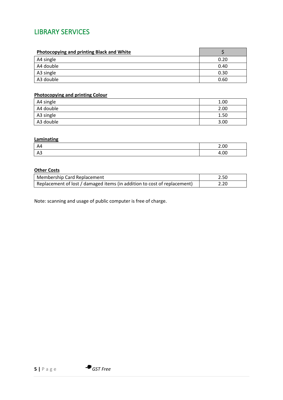## <span id="page-4-0"></span>LIBRARY SERVICES

| <b>Photocopying and printing Black and White</b> |      |
|--------------------------------------------------|------|
| A4 single                                        | 0.20 |
| A4 double                                        | 0.40 |
| A3 single                                        | 0.30 |
| A3 double                                        | 0.60 |

#### <span id="page-4-1"></span>**Photocopying and printing Colour**

| A4 single | 1.00 |
|-----------|------|
| A4 double | 2.00 |
| A3 single | 1.50 |
| A3 double | 3.00 |

#### <span id="page-4-2"></span>**Laminating**

| A4  | 2.00 |
|-----|------|
| 7NJ | 4.00 |

#### <span id="page-4-3"></span>**Other Costs**

| Membership Card Replacement                                              | 2.50 |
|--------------------------------------------------------------------------|------|
| Replacement of lost / damaged items (in addition to cost of replacement) | 2.20 |

Note: scanning and usage of public computer is free of charge.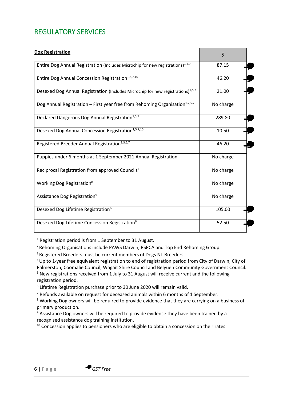# <span id="page-5-0"></span>REGULATORY SERVICES

<span id="page-5-1"></span>

| <b>Dog Registration</b>                                                                     | \$        |
|---------------------------------------------------------------------------------------------|-----------|
| Entire Dog Annual Registration (Includes Microchip for new registrations) <sup>1,5,7</sup>  | 87.15     |
| Entire Dog Annual Concession Registration <sup>1,5,7,10</sup>                               | 46.20     |
| Desexed Dog Annual Registration (Includes Microchip for new registrations) <sup>1,5,7</sup> | 21.00     |
| Dog Annual Registration - First year free from Rehoming Organisation <sup>1,2,5,7</sup>     | No charge |
| Declared Dangerous Dog Annual Registration <sup>1,5,7</sup>                                 | 289.80    |
| Desexed Dog Annual Concession Registration <sup>1,5,7,10</sup>                              | 10.50     |
| Registered Breeder Annual Registration <sup>1,3,5,7</sup>                                   | 46.20     |
| Puppies under 6 months at 1 September 2021 Annual Registration                              | No charge |
| Reciprocal Registration from approved Councils <sup>4</sup>                                 | No charge |
| Working Dog Registration <sup>8</sup>                                                       | No charge |
| Assistance Dog Registration <sup>9</sup>                                                    | No charge |
| Desexed Dog Lifetime Registration <sup>6</sup>                                              | 105.00    |
| Desexed Dog Lifetime Concession Registration <sup>6</sup>                                   | 52.50     |

<sup>1</sup> Registration period is from 1 September to 31 August.

<sup>2</sup> Rehoming Organisations include PAWS Darwin, RSPCA and Top End Rehoming Group.

<sup>3</sup> Registered Breeders must be current members of Dogs NT Breeders.

<sup>4</sup>Up to 1-year free equivalent registration to end of registration period from City of Darwin, City of Palmerston, Coomalie Council, Wagait Shire Council and Belyuen Community Government Council. <sup>5</sup> New registrations received from 1 July to 31 August will receive current and the following registration period.

6 Lifetime Registration purchase prior to 30 June 2020 will remain valid.

 $<sup>7</sup>$  Refunds available on request for deceased animals within 6 months of 1 September.</sup>

<sup>8</sup> Working Dog owners will be required to provide evidence that they are carrying on a business of primary production.

<sup>9</sup> Assistance Dog owners will be required to provide evidence they have been trained by a recognised assistance dog training institution.

 $10$  Concession applies to pensioners who are eligible to obtain a concession on their rates.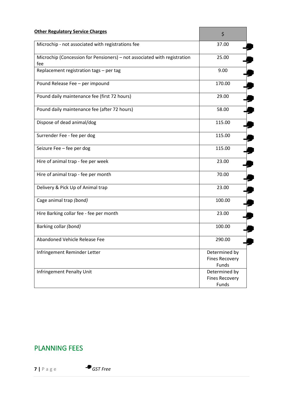<span id="page-6-0"></span>

| <b>Other Regulatory Service Charges</b>                                         | \$                                              |
|---------------------------------------------------------------------------------|-------------------------------------------------|
| Microchip - not associated with registrations fee                               | 37.00                                           |
| Microchip (Concession for Pensioners) - not associated with registration<br>fee | 25.00                                           |
| Replacement registration tags - per tag                                         | 9.00                                            |
| Pound Release Fee - per impound                                                 | 170.00                                          |
| Pound daily maintenance fee (first 72 hours)                                    | 29.00                                           |
| Pound daily maintenance fee (after 72 hours)                                    | 58.00                                           |
| Dispose of dead animal/dog                                                      | 115.00                                          |
| Surrender Fee - fee per dog                                                     | 115.00                                          |
| Seizure Fee - fee per dog                                                       | 115.00                                          |
| Hire of animal trap - fee per week                                              | 23.00                                           |
| Hire of animal trap - fee per month                                             | 70.00                                           |
| Delivery & Pick Up of Animal trap                                               | 23.00                                           |
| Cage animal trap (bond)                                                         | 100.00                                          |
| Hire Barking collar fee - fee per month                                         | 23.00                                           |
| Barking collar (bond)                                                           | 100.00                                          |
| Abandoned Vehicle Release Fee                                                   | 290.00                                          |
| Infringement Reminder Letter                                                    | Determined by<br><b>Fines Recovery</b><br>Funds |
| Infringement Penalty Unit                                                       | Determined by<br><b>Fines Recovery</b><br>Funds |

# <span id="page-6-1"></span>PLANNING FEES

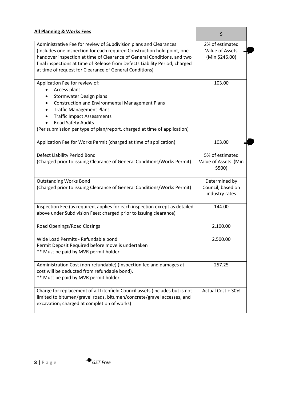<span id="page-7-0"></span>

| <b>All Planning &amp; Works Fees</b>                                                                                                                                                                                                                                                                                                                              | \$                                                   |
|-------------------------------------------------------------------------------------------------------------------------------------------------------------------------------------------------------------------------------------------------------------------------------------------------------------------------------------------------------------------|------------------------------------------------------|
| Administrative Fee for review of Subdivision plans and Clearances<br>(Includes one inspection for each required Construction hold point, one<br>handover inspection at time of Clearance of General Conditions, and two<br>final inspections at time of Release from Defects Liability Period; charged<br>at time of request for Clearance of General Conditions) | 2% of estimated<br>Value of Assets<br>(Min \$246.00) |
| Application Fee for review of:<br>Access plans<br>Stormwater Design plans<br><b>Construction and Environmental Management Plans</b><br><b>Traffic Management Plans</b><br><b>Traffic Impact Assessments</b><br>Road Safety Audits<br>(Per submission per type of plan/report, charged at time of application)                                                     | 103.00                                               |
| Application Fee for Works Permit (charged at time of application)                                                                                                                                                                                                                                                                                                 | 103.00                                               |
| Defect Liability Period Bond<br>(Charged prior to issuing Clearance of General Conditions/Works Permit)                                                                                                                                                                                                                                                           | 5% of estimated<br>Value of Assets (Min<br>\$500)    |
| <b>Outstanding Works Bond</b><br>(Charged prior to issuing Clearance of General Conditions/Works Permit)                                                                                                                                                                                                                                                          | Determined by<br>Council, based on<br>industry rates |
| Inspection Fee (as required, applies for each inspection except as detailed<br>above under Subdivision Fees; charged prior to issuing clearance)                                                                                                                                                                                                                  | 144.00                                               |
| Road Openings/Road Closings                                                                                                                                                                                                                                                                                                                                       | 2,100.00                                             |
| Wide Load Permits - Refundable bond<br>Permit Deposit Required before move is undertaken<br>** Must be paid by MVR permit holder.                                                                                                                                                                                                                                 | 2,500.00                                             |
| Administration Cost (non-refundable) (Inspection fee and damages at<br>cost will be deducted from refundable bond).<br>** Must be paid by MVR permit holder.                                                                                                                                                                                                      | 257.25                                               |
| Charge for replacement of all Litchfield Council assets (includes but is not<br>limited to bitumen/gravel roads, bitumen/concrete/gravel accesses, and<br>excavation; charged at completion of works)                                                                                                                                                             | Actual Cost + 30%                                    |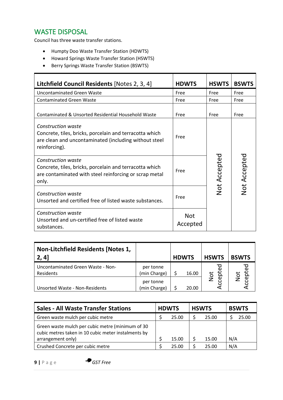### <span id="page-8-0"></span>WASTE DISPOSAL

Council has three waste transfer stations.

- Humpty Doo Waste Transfer Station (HDWTS)
- Howard Springs Waste Transfer Station (HSWTS)
- Berry Springs Waste Transfer Station (BSWTS)

| Litchfield Council Residents [Notes 2, 3, 4]                                                                                                                   | <b>HDWTS</b>           | <b>HSWTS</b>        | <b>BSWTS</b>        |  |
|----------------------------------------------------------------------------------------------------------------------------------------------------------------|------------------------|---------------------|---------------------|--|
| <b>Uncontaminated Green Waste</b>                                                                                                                              | Free                   | Free                | Free                |  |
| <b>Contaminated Green Waste</b>                                                                                                                                | Free                   | Free                | Free                |  |
| Contaminated & Unsorted Residential Household Waste                                                                                                            | Free                   | Free                | Free                |  |
| <b>Construction waste</b><br>Concrete, tiles, bricks, porcelain and terracotta which<br>are clean and uncontaminated (including without steel<br>reinforcing). | Free                   |                     |                     |  |
| <b>Construction waste</b><br>Concrete, tiles, bricks, porcelain and terracotta which<br>are contaminated with steel reinforcing or scrap metal<br>only.        | Free                   | <b>Not Accepted</b> | <b>Not Accepted</b> |  |
| <b>Construction waste</b><br>Unsorted and certified free of listed waste substances.                                                                           | Free                   |                     |                     |  |
| Construction waste<br>Unsorted and un-certified free of listed waste<br>substances.                                                                            | <b>Not</b><br>Accepted |                     |                     |  |

| Non-Litchfield Residents [Notes 1,<br>2, 4]    |                           | <b>HDWTS</b> | <b>HSWTS</b> | <b>BSWTS</b> |
|------------------------------------------------|---------------------------|--------------|--------------|--------------|
| Uncontaminated Green Waste - Non-<br>Residents | per tonne<br>(min Charge) | 16.00        |              |              |
| <b>Unsorted Waste - Non-Residents</b>          | per tonne<br>(min Charge) | 20.00        | Not          | ioK          |

| <b>Sales - All Waste Transfer Stations</b>                                                              | <b>HDWTS</b> |       | <b>HSWTS</b> |       | <b>BSWTS</b> |
|---------------------------------------------------------------------------------------------------------|--------------|-------|--------------|-------|--------------|
| Green waste mulch per cubic metre                                                                       |              | 25.00 |              | 25.00 | 25.00        |
| Green waste mulch per cubic metre (minimum of 30<br>cubic metres taken in 10 cubic meter instalments by |              |       |              |       |              |
| arrangement only)                                                                                       |              | 15.00 |              | 15.00 | N/A          |
| Crushed Concrete per cubic metre                                                                        |              | 25.00 |              | 25.00 | N/A          |

**9 |** P a g e *GST Free*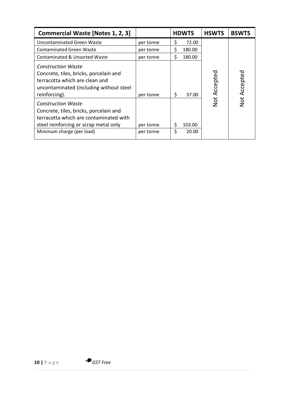| <b>Commercial Waste [Notes 1, 2, 3]</b>                                                                                                                                             |                        | <b>HDWTS</b>               | <b>HSWTS</b> | <b>BSWTS</b> |
|-------------------------------------------------------------------------------------------------------------------------------------------------------------------------------------|------------------------|----------------------------|--------------|--------------|
| Uncontaminated Green Waste                                                                                                                                                          | per tonne              | \$<br>72.00                |              |              |
| <b>Contaminated Green Waste</b>                                                                                                                                                     | per tonne              | \$<br>180.00               |              |              |
| Contaminated & Unsorted Waste                                                                                                                                                       | per tonne              | \$<br>180.00               |              |              |
| <b>Construction Waste</b><br>Concrete, tiles, bricks, porcelain and<br>terracotta which are clean and<br>uncontaminated (including without steel<br>reinforcing).                   | per tonne              | \$<br>37.00                | Accepted     | Not Accepted |
| <b>Construction Waste</b><br>Concrete, tiles, bricks, porcelain and<br>terracotta which are contaminated with<br>steel reinforcing or scrap metal only<br>Minimum charge (per load) | per tonne<br>per tonne | 103.00<br>S<br>\$<br>20.00 | Not          |              |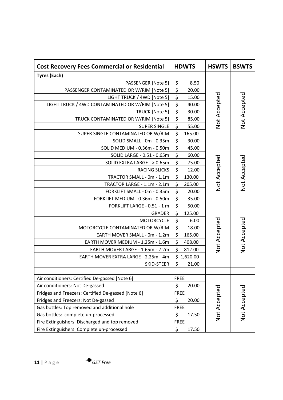| <b>Cost Recovery Fees Commercial or Residential</b> | <b>HDWTS</b>                             | <b>HSWTS</b> | <b>BSWTS</b> |
|-----------------------------------------------------|------------------------------------------|--------------|--------------|
| <b>Tyres (Each)</b>                                 |                                          |              |              |
| PASSENGER [Note 5]                                  | \$<br>8.50                               |              |              |
| PASSENGER CONTAMINATED OR W/RIM [Note 5]            | \$<br>20.00                              |              |              |
| LIGHT TRUCK / 4WD [Note 5]                          | \$<br>15.00                              |              |              |
| LIGHT TRUCK / 4WD CONTAMINATED OR W/RIM [Note 5]    | $\overline{\xi}$<br>40.00                |              |              |
| TRUCK [Note 5]                                      | $\overline{\boldsymbol{\zeta}}$<br>30.00 | Not Accepted | Not Accepted |
| TRUCK CONTAMINATED OR W/RIM [Note 5]                | $\overline{\boldsymbol{\xi}}$<br>85.00   |              |              |
| <b>SUPER SINGLE</b>                                 | \$<br>55.00                              |              |              |
| SUPER SINGLE CONTAMINATED OR W/RIM                  | \$<br>165.00                             |              |              |
| SOLID SMALL - 0m - 0.35m                            | \$<br>30.00                              |              |              |
| SOLID MEDIUM - 0.36m - 0.50m                        | $\overline{\boldsymbol{\zeta}}$<br>45.00 |              |              |
| SOLID LARGE - 0.51 - 0.65m                          | \$<br>60.00                              |              |              |
| SOLID EXTRA LARGE - > 0.65m                         | \$<br>75.00                              |              |              |
| <b>RACING SLICKS</b>                                | \$<br>12.00                              | Not Accepted | Not Accepted |
| TRACTOR SMALL - 0m - 1.1m                           | \$<br>130.00                             |              |              |
| TRACTOR LARGE - 1.1m - 2.1m                         | \$<br>205.00                             |              |              |
| FORKLIFT SMALL - 0m - 0.35m                         | \$<br>20.00                              |              |              |
| FORKLIFT MEDIUM - 0.36m - 0.50m                     | $\overline{\boldsymbol{\zeta}}$<br>35.00 |              |              |
| FORKLIFT LARGE - 0.51 - 1 m                         | \$<br>50.00                              |              |              |
| <b>GRADER</b>                                       | \$<br>125.00                             |              |              |
| <b>MOTORCYCLE</b>                                   | \$<br>6.00                               |              | Not Accepted |
| MOTORCYCLE CONTAMINATED OR W/RIM                    | \$<br>18.00                              |              |              |
| EARTH MOVER SMALL - 0m - 1.2m                       | \$<br>165.00                             |              |              |
| EARTH MOVER MEDIUM - 1.25m - 1.6m                   | \$<br>408.00                             | Not Accepted |              |
| EARTH MOVER LARGE - 1.65m - 2.2m                    | \$<br>812.00                             |              |              |
| EARTH MOVER EXTRA LARGE - 2.25m - 4m                | \$1,620.00                               |              |              |
| SKID-STEER                                          | \$<br>21.00                              |              |              |
|                                                     |                                          |              |              |
| Air conditioners: Certified De-gassed [Note 6]      | <b>FREE</b>                              |              |              |
| Air conditioners: Not De-gassed                     | \$<br>20.00                              |              |              |
| Fridges and Freezers: Certified De-gassed [Note 6]  | <b>FREE</b>                              |              |              |
| Fridges and Freezers: Not De-gassed                 | \$<br>20.00                              |              |              |
| Gas bottles: Top removed and additional hole        | <b>FREE</b>                              | Not Accepted | Not Accepted |
| Gas bottles: complete un-processed                  | \$<br>17.50                              |              |              |
| Fire Extinguishers: Discharged and top removed      | <b>FREE</b>                              |              |              |
| Fire Extinguishers: Complete un-processed           | \$<br>17.50                              |              |              |